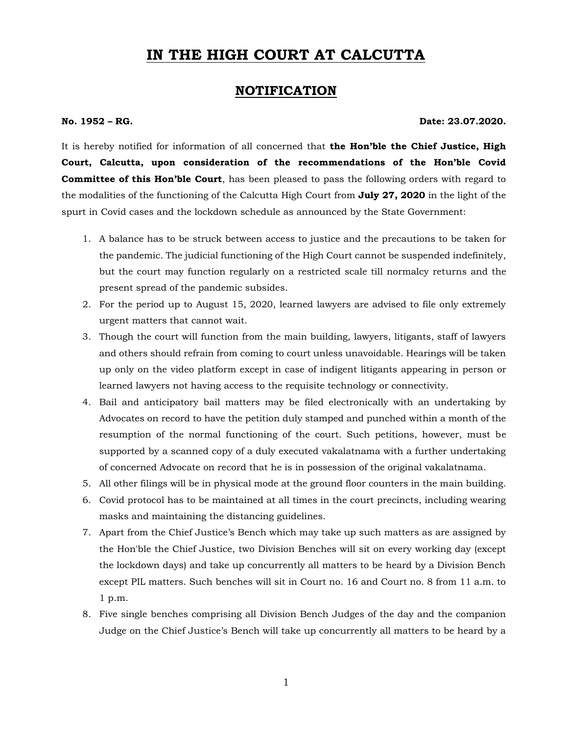## **IN THE HIGH COURT AT CALCUTTA**

## **NOTIFICATION**

## **No. 1952 – RG. Date: 23.07.2020.**

It is hereby notified for information of all concerned that **the Hon'ble the Chief Justice, High Court, Calcutta, upon consideration of the recommendations of the Hon'ble Covid Committee of this Hon'ble Court**, has been pleased to pass the following orders with regard to the modalities of the functioning of the Calcutta High Court from **July 27, 2020** in the light of the spurt in Covid cases and the lockdown schedule as announced by the State Government:

- 1. A balance has to be struck between access to justice and the precautions to be taken for the pandemic. The judicial functioning of the High Court cannot be suspended indefinitely, but the court may function regularly on a restricted scale till normalcy returns and the present spread of the pandemic subsides.
- 2. For the period up to August 15, 2020, learned lawyers are advised to file only extremely urgent matters that cannot wait.
- 3. Though the court will function from the main building, lawyers, litigants, staff of lawyers and others should refrain from coming to court unless unavoidable. Hearings will be taken up only on the video platform except in case of indigent litigants appearing in person or learned lawyers not having access to the requisite technology or connectivity.
- 4. Bail and anticipatory bail matters may be filed electronically with an undertaking by Advocates on record to have the petition duly stamped and punched within a month of the resumption of the normal functioning of the court. Such petitions, however, must be supported by a scanned copy of a duly executed vakalatnama with a further undertaking of concerned Advocate on record that he is in possession of the original vakalatnama.
- 5. All other filings will be in physical mode at the ground floor counters in the main building.
- 6. Covid protocol has to be maintained at all times in the court precincts, including wearing masks and maintaining the distancing guidelines.
- 7. Apart from the Chief Justice's Bench which may take up such matters as are assigned by the Hon'ble the Chief Justice, two Division Benches will sit on every working day (except the lockdown days) and take up concurrently all matters to be heard by a Division Bench except PIL matters. Such benches will sit in Court no. 16 and Court no. 8 from 11 a.m. to 1 p.m.
- 8. Five single benches comprising all Division Bench Judges of the day and the companion Judge on the Chief Justice's Bench will take up concurrently all matters to be heard by a